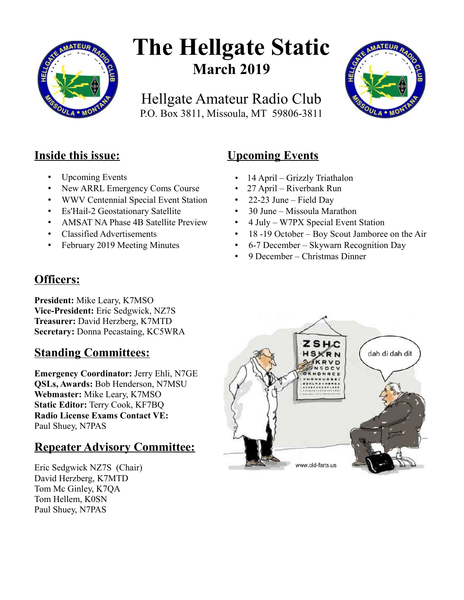

# **The Hellgate Static March 2019**

Hellgate Amateur Radio Club P.O. Box 3811, Missoula, MT 59806-3811



## **Inside this issue:**

- Upcoming Events
- New ARRL Emergency Coms Course
- WWV Centennial Special Event Station
- Es'Hail-2 Geostationary Satellite
- AMSAT NA Phase 4B Satellite Preview
- Classified Advertisements
- February 2019 Meeting Minutes

# **Upcoming Events**

- 14 April Grizzly Triathalon
- 27 April Riverbank Run
- 22-23 June Field Day
- 30 June Missoula Marathon
- 4 July W7PX Special Event Station
- 18 -19 October Boy Scout Jamboree on the Air
- 6-7 December Skywarn Recognition Day
- 9 December Christmas Dinner

## **Officers:**

**President:** Mike Leary, K7MSO **Vice-President:** Eric Sedgwick, NZ7S **Treasurer:** David Herzberg, K7MTD **Secretary:** Donna Pecastaing, KC5WRA

## **Standing Committees:**

**Emergency Coordinator:** Jerry Ehli, N7GE **QSLs, Awards:** Bob Henderson, N7MSU **Webmaster:** Mike Leary, K7MSO **Static Editor:** Terry Cook, KF7BQ **Radio License Exams Contact VE:** Paul Shuey, N7PAS

## **Repeater Advisory Committee:**

Eric Sedgwick NZ7S (Chair) David Herzberg, K7MTD Tom Mc Ginley, K7QA Tom Hellem, K0SN Paul Shuey, N7PAS

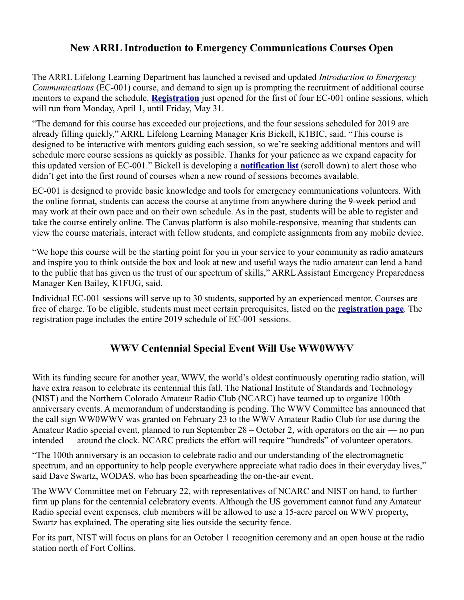#### **New ARRL Introduction to Emergency Communications Courses Open**

The ARRL Lifelong Learning Department has launched a revised and updated *Introduction to Emergency Communications* (EC-001) course, and demand to sign up is prompting the recruitment of additional course mentors to expand the schedule. **[Registration](https://www.arrl.org/online-course-enrollment/1)** just opened for the first of four EC-001 online sessions, which will run from Monday, April 1, until Friday, May 31.

"The demand for this course has exceeded our projections, and the four sessions scheduled for 2019 are already filling quickly," ARRL Lifelong Learning Manager Kris Bickell, K1BIC, said. "This course is designed to be interactive with mentors guiding each session, so we're seeking additional mentors and will schedule more course sessions as quickly as possible. Thanks for your patience as we expand capacity for this updated version of EC-001." Bickell is developing a **[notification list](http://www.arrl.org/online-course-registration)** (scroll down) to alert those who didn't get into the first round of courses when a new round of sessions becomes available.

EC-001 is designed to provide basic knowledge and tools for emergency communications volunteers. With the online format, students can access the course at anytime from anywhere during the 9-week period and may work at their own pace and on their own schedule. As in the past, students will be able to register and take the course entirely online. The Canvas platform is also mobile-responsive, meaning that students can view the course materials, interact with fellow students, and complete assignments from any mobile device.

"We hope this course will be the starting point for you in your service to your community as radio amateurs and inspire you to think outside the box and look at new and useful ways the radio amateur can lend a hand to the public that has given us the trust of our spectrum of skills," ARRL Assistant Emergency Preparedness Manager Ken Bailey, K1FUG, said.

Individual EC-001 sessions will serve up to 30 students, supported by an experienced mentor. Courses are free of charge. To be eligible, students must meet certain prerequisites, listed on the **[registration page](http://www.arrl.org/online-course-registration)**. The registration page includes the entire 2019 schedule of EC-001 sessions.

#### **WWV Centennial Special Event Will Use WW0WWV**

With its funding secure for another year, WWV, the world's oldest continuously operating radio station, will have extra reason to celebrate its centennial this fall. The National Institute of Standards and Technology (NIST) and the Northern Colorado Amateur Radio Club (NCARC) have teamed up to organize 100th anniversary events. A memorandum of understanding is pending. The WWV Committee has announced that the call sign WW0WWV was granted on February 23 to the WWV Amateur Radio Club for use during the Amateur Radio special event, planned to run September 28 – October 2, with operators on the air — no pun intended — around the clock. NCARC predicts the effort will require "hundreds" of volunteer operators.

"The 100th anniversary is an occasion to celebrate radio and our understanding of the electromagnetic spectrum, and an opportunity to help people everywhere appreciate what radio does in their everyday lives," said Dave Swartz, WODAS, who has been spearheading the on-the-air event.

The WWV Committee met on February 22, with representatives of NCARC and NIST on hand, to further firm up plans for the centennial celebratory events. Although the US government cannot fund any Amateur Radio special event expenses, club members will be allowed to use a 15-acre parcel on WWV property, Swartz has explained. The operating site lies outside the security fence.

For its part, NIST will focus on plans for an October 1 recognition ceremony and an open house at the radio station north of Fort Collins.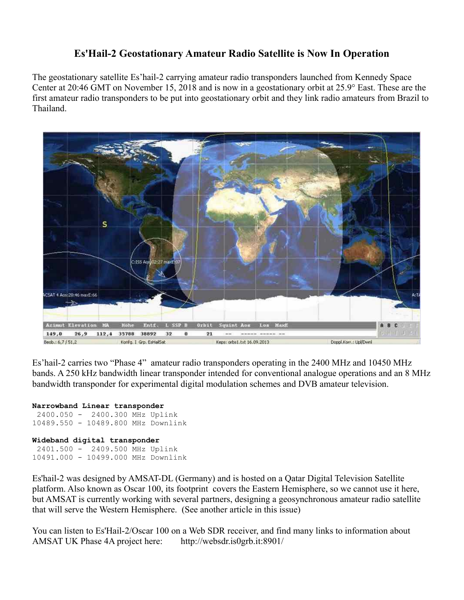#### **Es'Hail-2 Geostationary Amateur Radio Satellite is Now In Operation**

The geostationary satellite Es'hail-2 carrying amateur radio transponders launched from Kennedy Space Center at 20:46 GMT on November 15, 2018 and is now in a geostationary orbit at 25.9° East. These are the first amateur radio transponders to be put into geostationary orbit and they link radio amateurs from Brazil to Thailand.



Es'hail-2 carries two "Phase 4" amateur radio transponders operating in the 2400 MHz and 10450 MHz bands. A 250 kHz bandwidth linear transponder intended for conventional analogue operations and an 8 MHz bandwidth transponder for experimental digital modulation schemes and DVB amateur television.

#### **Narrowband Linear transponder** 2400.050 - 2400.300 MHz Uplink 10489.550 - 10489.800 MHz Downlink **Wideband digital transponder** 2401.500 - 2409.500 MHz Uplink 10491.000 - 10499.000 MHz Downlink

Es'hail-2 was designed by AMSAT-DL (Germany) and is hosted on a Qatar Digital Television Satellite platform. Also known as Oscar 100, its footprint covers the Eastern Hemisphere, so we cannot use it here, but AMSAT is currently working with several partners, designing a geosynchronous amateur radio satellite that will serve the Western Hemisphere. (See another article in this issue)

You can listen to Es'Hail-2/Oscar 100 on a Web SDR receiver, and find many links to information about AMSAT UK Phase 4A project here: http://websdr.is0grb.it:8901/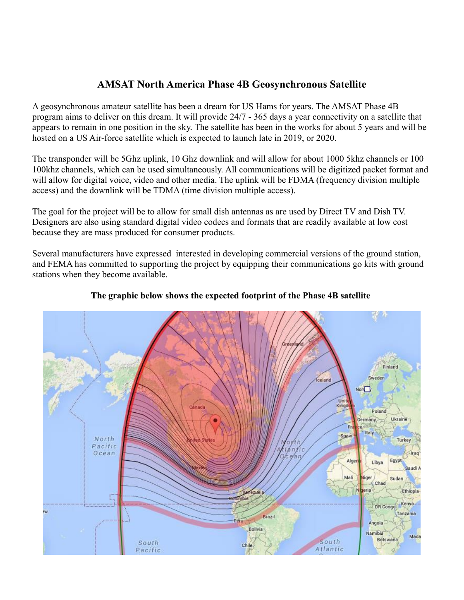### **AMSAT North America Phase 4B Geosynchronous Satellite**

A geosynchronous amateur satellite has been a dream for US Hams for years. The AMSAT Phase 4B program aims to deliver on this dream. It will provide 24/7 - 365 days a year connectivity on a satellite that appears to remain in one position in the sky. The satellite has been in the works for about 5 years and will be hosted on a US Air-force satellite which is expected to launch late in 2019, or 2020.

The transponder will be 5Ghz uplink, 10 Ghz downlink and will allow for about 1000 5khz channels or 100 100khz channels, which can be used simultaneously. All communications will be digitized packet format and will allow for digital voice, video and other media. The uplink will be FDMA (frequency division multiple access) and the downlink will be TDMA (time division multiple access).

The goal for the project will be to allow for small dish antennas as are used by Direct TV and Dish TV. Designers are also using standard digital video codecs and formats that are readily available at low cost because they are mass produced for consumer products.

Several manufacturers have expressed interested in developing commercial versions of the ground station, and FEMA has committed to supporting the project by equipping their communications go kits with ground stations when they become available.



#### **The graphic below shows the expected footprint of the Phase 4B satellite**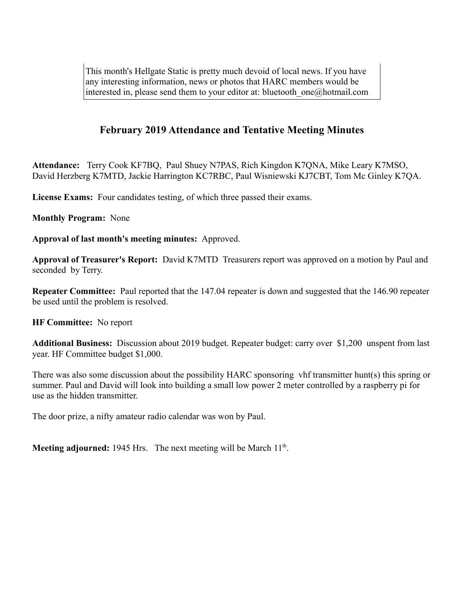This month's Hellgate Static is pretty much devoid of local news. If you have any interesting information, news or photos that HARC members would be interested in, please send them to your editor at: bluetooth\_one@hotmail.com

#### **February 2019 Attendance and Tentative Meeting Minutes**

**Attendance:** Terry Cook KF7BQ, Paul Shuey N7PAS, Rich Kingdon K7QNA, Mike Leary K7MSO, David Herzberg K7MTD, Jackie Harrington KC7RBC, Paul Wisniewski KJ7CBT, Tom Mc Ginley K7QA.

License Exams: Four candidates testing, of which three passed their exams.

**Monthly Program:** None

**Approval of last month's meeting minutes:** Approved.

**Approval of Treasurer's Report:** David K7MTD Treasurers report was approved on a motion by Paul and seconded by Terry.

**Repeater Committee:** Paul reported that the 147.04 repeater is down and suggested that the 146.90 repeater be used until the problem is resolved.

**HF Committee:** No report

**Additional Business:** Discussion about 2019 budget. Repeater budget: carry over \$1,200 unspent from last year. HF Committee budget \$1,000.

There was also some discussion about the possibility HARC sponsoring vhf transmitter hunt(s) this spring or summer. Paul and David will look into building a small low power 2 meter controlled by a raspberry pi for use as the hidden transmitter.

The door prize, a nifty amateur radio calendar was won by Paul.

Meeting adjourned: 1945 Hrs. The next meeting will be March 11<sup>th</sup>.